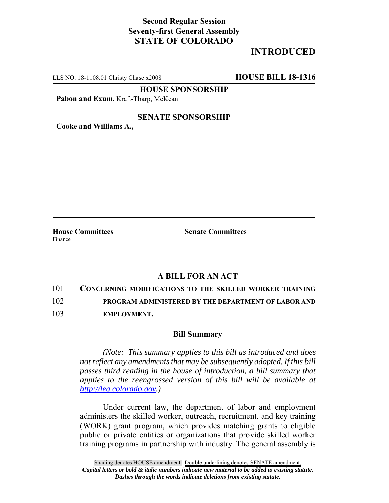## **Second Regular Session Seventy-first General Assembly STATE OF COLORADO**

# **INTRODUCED**

LLS NO. 18-1108.01 Christy Chase x2008 **HOUSE BILL 18-1316**

**HOUSE SPONSORSHIP**

Pabon and Exum, Kraft-Tharp, McKean

#### **SENATE SPONSORSHIP**

**Cooke and Williams A.,**

Finance

**House Committees Senate Committees** 

### **A BILL FOR AN ACT**

101 **CONCERNING MODIFICATIONS TO THE SKILLED WORKER TRAINING** 102 **PROGRAM ADMINISTERED BY THE DEPARTMENT OF LABOR AND**

103 **EMPLOYMENT.**

#### **Bill Summary**

*(Note: This summary applies to this bill as introduced and does not reflect any amendments that may be subsequently adopted. If this bill passes third reading in the house of introduction, a bill summary that applies to the reengrossed version of this bill will be available at http://leg.colorado.gov.)*

Under current law, the department of labor and employment administers the skilled worker, outreach, recruitment, and key training (WORK) grant program, which provides matching grants to eligible public or private entities or organizations that provide skilled worker training programs in partnership with industry. The general assembly is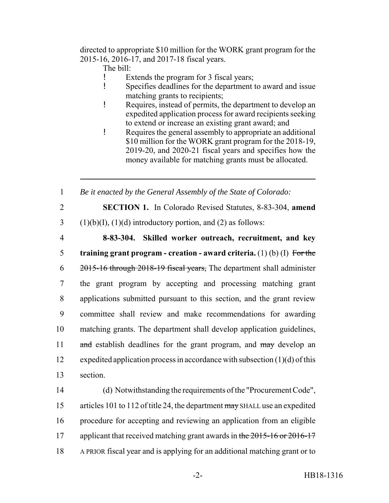directed to appropriate \$10 million for the WORK grant program for the 2015-16, 2016-17, and 2017-18 fiscal years.

- The bill:
- ! Extends the program for 3 fiscal years;
- ! Specifies deadlines for the department to award and issue matching grants to recipients;
- ! Requires, instead of permits, the department to develop an expedited application process for award recipients seeking to extend or increase an existing grant award; and
- ! Requires the general assembly to appropriate an additional \$10 million for the WORK grant program for the 2018-19, 2019-20, and 2020-21 fiscal years and specifies how the money available for matching grants must be allocated.

1 *Be it enacted by the General Assembly of the State of Colorado:*

2 **SECTION 1.** In Colorado Revised Statutes, 8-83-304, **amend**

3 (1)(b)(I), (1)(d) introductory portion, and (2) as follows:

 **8-83-304. Skilled worker outreach, recruitment, and key training grant program - creation - award criteria.** (1) (b) (I) For the 2015-16 through 2018-19 fiscal years, The department shall administer the grant program by accepting and processing matching grant applications submitted pursuant to this section, and the grant review committee shall review and make recommendations for awarding matching grants. The department shall develop application guidelines, 11 and establish deadlines for the grant program, and may develop an expedited application process in accordance with subsection (1)(d) of this 13 section.

14 (d) Notwithstanding the requirements of the "Procurement Code", 15 articles 101 to 112 of title 24, the department may SHALL use an expedited 16 procedure for accepting and reviewing an application from an eligible 17 applicant that received matching grant awards in the 2015-16 or 2016-17 18 A PRIOR fiscal year and is applying for an additional matching grant or to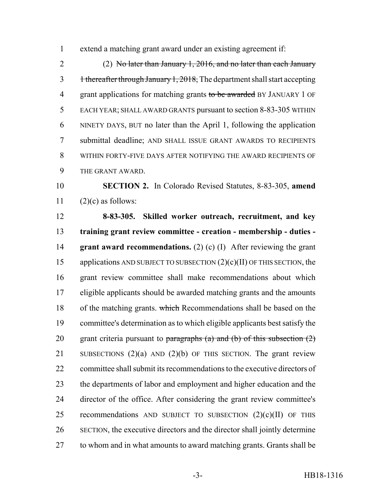extend a matching grant award under an existing agreement if:

 (2) No later than January 1, 2016, and no later than each January 3 thereafter through January 1, 2018, The department shall start accepting 4 grant applications for matching grants to be awarded BY JANUARY 1 OF EACH YEAR; SHALL AWARD GRANTS pursuant to section 8-83-305 WITHIN NINETY DAYS, BUT no later than the April 1, following the application submittal deadline; AND SHALL ISSUE GRANT AWARDS TO RECIPIENTS WITHIN FORTY-FIVE DAYS AFTER NOTIFYING THE AWARD RECIPIENTS OF THE GRANT AWARD.

 **SECTION 2.** In Colorado Revised Statutes, 8-83-305, **amend** 11  $(2)(c)$  as follows:

 **8-83-305. Skilled worker outreach, recruitment, and key training grant review committee - creation - membership - duties - grant award recommendations.** (2) (c) (I) After reviewing the grant 15 applications AND SUBJECT TO SUBSECTION  $(2)(c)(II)$  OF THIS SECTION, the grant review committee shall make recommendations about which eligible applicants should be awarded matching grants and the amounts 18 of the matching grants. which Recommendations shall be based on the committee's determination as to which eligible applicants best satisfy the 20 grant criteria pursuant to paragraphs  $(a)$  and  $(b)$  of this subsection  $(2)$ 21 SUBSECTIONS  $(2)(a)$  AND  $(2)(b)$  OF THIS SECTION. The grant review committee shall submit its recommendations to the executive directors of the departments of labor and employment and higher education and the director of the office. After considering the grant review committee's 25 recommendations AND SUBJECT TO SUBSECTION  $(2)(c)(II)$  OF THIS SECTION, the executive directors and the director shall jointly determine to whom and in what amounts to award matching grants. Grants shall be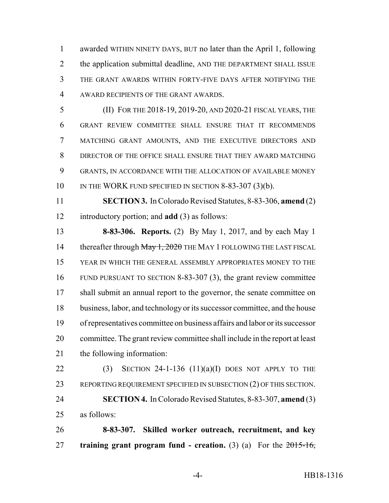awarded WITHIN NINETY DAYS, BUT no later than the April 1, following 2 the application submittal deadline, AND THE DEPARTMENT SHALL ISSUE THE GRANT AWARDS WITHIN FORTY-FIVE DAYS AFTER NOTIFYING THE AWARD RECIPIENTS OF THE GRANT AWARDS.

 (II) FOR THE 2018-19, 2019-20, AND 2020-21 FISCAL YEARS, THE GRANT REVIEW COMMITTEE SHALL ENSURE THAT IT RECOMMENDS MATCHING GRANT AMOUNTS, AND THE EXECUTIVE DIRECTORS AND DIRECTOR OF THE OFFICE SHALL ENSURE THAT THEY AWARD MATCHING GRANTS, IN ACCORDANCE WITH THE ALLOCATION OF AVAILABLE MONEY 10 IN THE WORK FUND SPECIFIED IN SECTION 8-83-307 (3)(b).

 **SECTION 3.** In Colorado Revised Statutes, 8-83-306, **amend** (2) introductory portion; and **add** (3) as follows:

 **8-83-306. Reports.** (2) By May 1, 2017, and by each May 1 14 thereafter through May 1, 2020 THE MAY 1 FOLLOWING THE LAST FISCAL YEAR IN WHICH THE GENERAL ASSEMBLY APPROPRIATES MONEY TO THE FUND PURSUANT TO SECTION 8-83-307 (3), the grant review committee 17 shall submit an annual report to the governor, the senate committee on business, labor, and technology or its successor committee, and the house of representatives committee on business affairs and labor or its successor committee. The grant review committee shall include in the report at least the following information:

 (3) SECTION 24-1-136 (11)(a)(I) DOES NOT APPLY TO THE 23 REPORTING REQUIREMENT SPECIFIED IN SUBSECTION (2) OF THIS SECTION. **SECTION 4.** In Colorado Revised Statutes, 8-83-307, **amend** (3) as follows:

 **8-83-307. Skilled worker outreach, recruitment, and key training grant program fund - creation.** (3) (a) For the 2015-16,